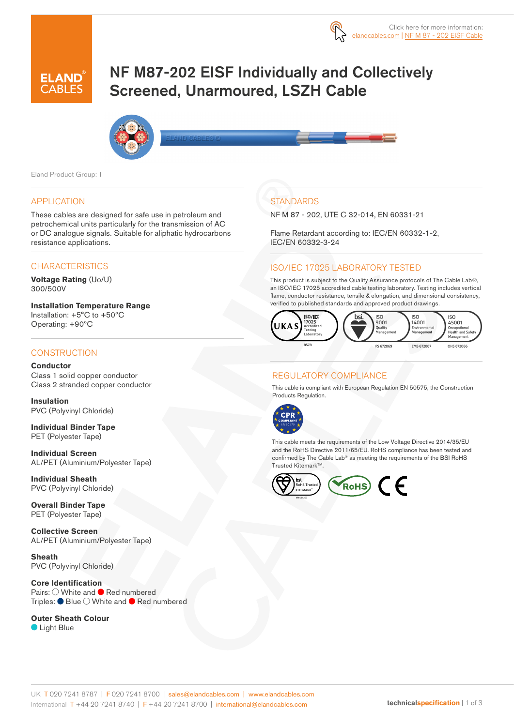

# NF M87-202 EISF Individually and Collectively Screened, Unarmoured, LSZH Cable



Eland Product Group: I

#### APPLICATION

These cables are designed for safe use in petroleum and petrochemical units particularly for the transmission of AC or DC analogue signals. Suitable for aliphatic hydrocarbons resistance applications.

#### **CHARACTERISTICS**

**Voltage Rating** (Uo/U) 300/500V

**Installation Temperature Range** Installation: +5°C to +50ºC Operating: +90ºC

#### **CONSTRUCTION**

**Conductor** Class 1 solid copper conductor Class 2 stranded copper conductor

**Insulation** PVC (Polyvinyl Chloride)

**Individual Binder Tape** PET (Polyester Tape)

**Individual Screen** AL/PET (Aluminium/Polyester Tape)

**Individual Sheath** PVC (Polyvinyl Chloride)

**Overall Binder Tape** PET (Polyester Tape)

**Collective Screen** AL/PET (Aluminium/Polyester Tape)

**Sheath** PVC (Polyvinyl Chloride)

**Core Identification** Pairs:  $\bigcirc$  White and  $\bigcirc$  Red numbered Triples:  $\bullet$  Blue  $\circlearrowright$  White and  $\bullet$  Red numbered

#### **Outer Sheath Colour**

**C** Light Blue

### **STANDARDS**

NF M 87 - 202, UTE C 32-014, EN 60331-21

Flame Retardant according to: IEC/EN 60332-1-2, IEC/EN 60332-3-24

#### ISO/IEC 17025 LABORATORY TESTED

This product is subject to the Quality Assurance protocols of The Cable Lab®, an ISO/IEC 17025 accredited cable testing laboratory. Testing includes vertical flame, conductor resistance, tensile & elongation, and dimensional consistency, verified to published standards and approved product drawings.



#### REGULATORY COMPLIANCE

This cable is compliant with European Regulation EN 50575, the Construction Products Regulation.



This cable meets the requirements of the Low Voltage Directive 2014/35/EU and the RoHS Directive 2011/65/EU. RoHS compliance has been tested and confirmed by The Cable Lab® as meeting the requirements of the BSI RoHS Trusted KitemarkTM.

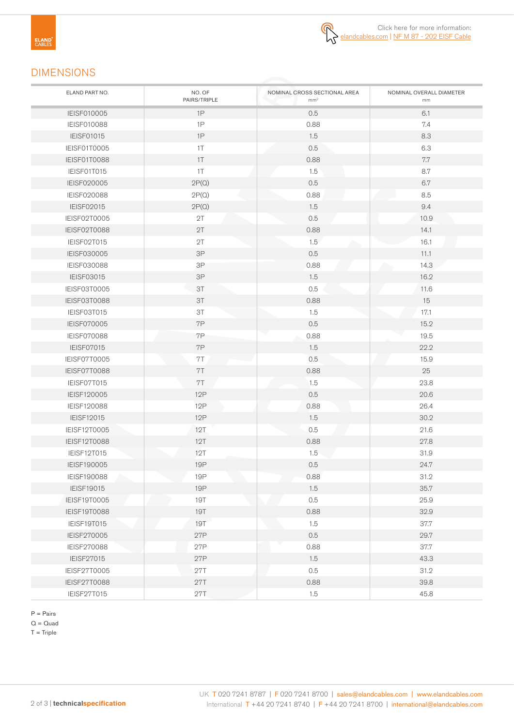

## DIMENSIONS

| ELAND PART NO.      | NO. OF<br>PAIRS/TRIPLE | NOMINAL CROSS SECTIONAL AREA<br>mm <sup>2</sup> | NOMINAL OVERALL DIAMETER<br>mm |
|---------------------|------------------------|-------------------------------------------------|--------------------------------|
| IEISF010005         | 1P                     | 0.5                                             | 6.1                            |
| <b>IEISF010088</b>  | 1P                     | 0.88                                            | 7.4                            |
| <b>IEISF01015</b>   | 1P                     | 1.5                                             | 8.3                            |
| IEISF01T0005        | 1T                     | 0.5                                             | 6.3                            |
| IEISF01T0088        | 1T                     | 0.88                                            | 7.7                            |
| IEISF01T015         | 1T                     | 1.5                                             | 8.7                            |
| IEISF020005         | 2P(Q)                  | 0.5                                             | 6.7                            |
| IEISF020088         | 2P(Q)                  | 0.88                                            | 8.5                            |
| IEISF02015          | 2P(Q)                  | 1.5                                             | 9.4                            |
| IEISF02T0005        | 2T                     | 0.5                                             | 10.9                           |
| IEISF02T0088        | 2T                     | 0.88                                            | 14.1                           |
| IEISF02T015         | 2T                     | 1.5                                             | 16.1                           |
| IEISF030005         | 3P                     | 0.5                                             | 11.1                           |
| <b>IEISF030088</b>  | 3P                     | 0.88                                            | 14.3                           |
| IEISF03015          | $3P$                   | 1.5                                             | 16.2                           |
| IEISF03T0005        | 3T                     | 0.5                                             | 11.6                           |
| IEISF03T0088        | 3T                     | 0.88                                            | 15                             |
| IEISF03T015         | ЗT                     | 1.5                                             | 17.1                           |
| <b>IEISF070005</b>  | 7P                     | 0.5                                             | 15.2                           |
| <b>IEISF070088</b>  | 7P                     | 0.88                                            | 19.5                           |
| IEISF07015          | 7P                     | 1.5                                             | 22.2                           |
| IEISF07T0005        | 7T                     | 0.5                                             | 15.9                           |
| IEISF07T0088        | 7T                     | 0.88                                            | 25                             |
| IEISF07T015         | 7T                     | 1.5                                             | 23.8                           |
| IEISF120005         | <b>12P</b>             | 0.5                                             | 20.6                           |
| IEISF120088         | 12P                    | 0.88                                            | 26.4                           |
| <b>IEISF12015</b>   | 12P                    | 1.5                                             | 30.2                           |
| IEISF12T0005        | 12T                    | 0.5                                             | 21.6                           |
| IEISF12T0088        | 12T                    | 0.88                                            | 27.8                           |
| IEISF12T015         | 12T                    | 1.5                                             | 31.9                           |
| IEISF190005         | <b>19P</b>             | 0.5                                             | 24.7                           |
| <b>IEISF190088</b>  | <b>19P</b>             | 0.88                                            | 31.2                           |
| <b>IEISF19015</b>   | <b>19P</b>             | 1.5                                             | 35.7                           |
| IEISF19T0005        | <b>19T</b>             | 0.5                                             | 25.9                           |
| <b>IEISF19T0088</b> | <b>19T</b>             | 0.88                                            | 32.9                           |
| IEISF19T015         | <b>19T</b>             | 1.5                                             | 37.7                           |
| IEISF270005         | 27P                    | 0.5                                             | 29.7                           |
| IEISF270088         | 27P                    | 0.88                                            | 37.7                           |
| IEISF27015          | 27P                    | 1.5                                             | 43.3                           |
| IEISF27T0005        | <b>27T</b>             | 0.5                                             | 31.2                           |
| IEISF27T0088        | <b>27T</b>             | 0.88                                            | 39.8                           |
| IEISF27T015         | 27T                    | 1.5                                             | 45.8                           |

P = Pairs

 $Q = Quad$ 

 $T =$ Triple